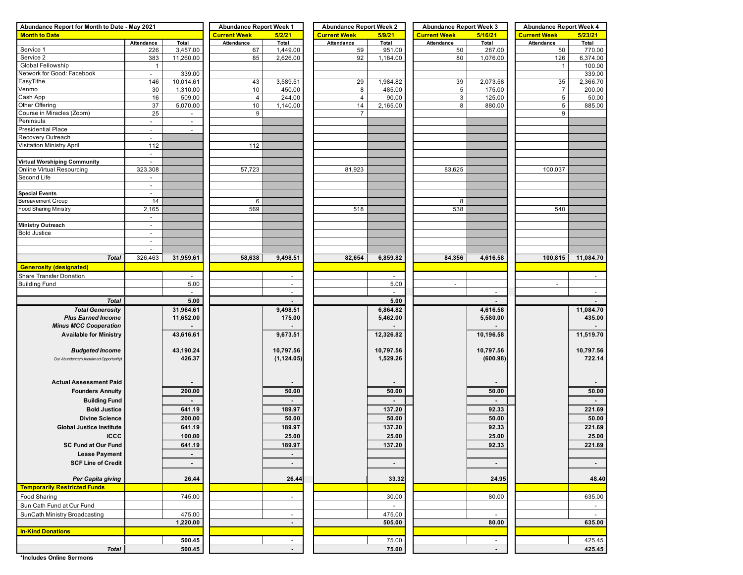| Abundance Report for Month to Date - May 2021 |                          | <b>Abundance Report Week 1</b> |                               | <b>Abundance Report Week 2</b> |                     | <b>Abundance Report Week 3</b> |                          | <b>Abundance Report Week 4</b> |                     |                          |  |
|-----------------------------------------------|--------------------------|--------------------------------|-------------------------------|--------------------------------|---------------------|--------------------------------|--------------------------|--------------------------------|---------------------|--------------------------|--|
| <b>Month to Date</b>                          |                          |                                | <b>Current Week</b><br>5/2/21 |                                | <b>Current Week</b> | 5/9/21                         | <b>Current Week</b>      | 5/16/21                        | <b>Current Week</b> | 5/23/21                  |  |
|                                               | Attendance               | Total                          | Attendance                    | Total                          | Attendance          | Total                          | Attendance               | Total                          | Attendance          | Total                    |  |
| Service 1                                     | 226                      | 3,457.00                       | 67                            | 1,449.00                       | 59                  | 951.00                         | 50                       | 287.00                         | 50                  | 770.00                   |  |
| Service 2                                     | 383                      | 11,260.00                      | 85                            | 2,626.00                       | 92                  | 1,184.00                       | 80                       | 1,076.00                       | 126                 | 6,374.00                 |  |
| Global Fellowship                             | $\overline{1}$           |                                |                               |                                |                     |                                |                          |                                | $\mathbf{1}$        | 100.00                   |  |
| Network for Good: Facebook                    | $\sim$                   | 339.00                         |                               |                                |                     |                                |                          |                                |                     | 339.00                   |  |
| EasyTithe                                     | 146                      | 10,014.61                      | 43                            | 3,589.51                       | 29                  | 1,984.82                       | 39                       | 2,073.58                       | 35                  | 2,366.70                 |  |
| Venmo                                         | 30                       | 1,310.00                       | 10                            | 450.00                         | 8                   | 485.00                         | $\sqrt{5}$               | 175.00                         | 7                   | 200.00                   |  |
| Cash App                                      | 16                       | 509.00                         | $\overline{4}$                | 244.00                         | $\overline{4}$      | 90.00                          | $\mathbf{3}$             | 125.00                         | 5                   | 50.00                    |  |
| Other Offering                                | 37                       | 5,070.00                       | 10                            | 1,140.00                       | 14                  | 2,165.00                       | 8                        | 880.00                         | 5                   | 885.00                   |  |
| Course in Miracles (Zoom)                     | 25                       | $\overline{\phantom{a}}$       | 9                             |                                | $\overline{7}$      |                                |                          |                                | 9                   |                          |  |
| Peninsula                                     | $\blacksquare$           | $\overline{\phantom{a}}$       |                               |                                |                     |                                |                          |                                |                     |                          |  |
| <b>Presidential Place</b>                     | $\blacksquare$           |                                |                               |                                |                     |                                |                          |                                |                     |                          |  |
| Recovery Outreach                             | $\equiv$                 |                                |                               |                                |                     |                                |                          |                                |                     |                          |  |
| Visitation Ministry April                     | 112                      |                                | 112                           |                                |                     |                                |                          |                                |                     |                          |  |
|                                               | $\sim$                   |                                |                               |                                |                     |                                |                          |                                |                     |                          |  |
| <b>Virtual Worshiping Community</b>           | $\sim$                   |                                |                               |                                |                     |                                |                          |                                |                     |                          |  |
| Online Virtual Resourcing                     | 323,308                  |                                | 57,723                        |                                | 81,923              |                                | 83,625                   |                                | 100,037             |                          |  |
| Second Life                                   |                          |                                |                               |                                |                     |                                |                          |                                |                     |                          |  |
|                                               | $\overline{\phantom{a}}$ |                                |                               |                                |                     |                                |                          |                                |                     |                          |  |
| <b>Special Events</b>                         | $\sim$                   |                                |                               |                                |                     |                                |                          |                                |                     |                          |  |
| Bereavement Group                             | 14                       |                                | 6                             |                                |                     |                                | 8                        |                                |                     |                          |  |
| Food Sharing Ministry                         | 2,165                    |                                | 569                           |                                | 518                 |                                | 538                      |                                | 540                 |                          |  |
|                                               | $\overline{\phantom{a}}$ |                                |                               |                                |                     |                                |                          |                                |                     |                          |  |
| <b>Ministry Outreach</b>                      | $\overline{\phantom{a}}$ |                                |                               |                                |                     |                                |                          |                                |                     |                          |  |
| <b>Bold Justice</b>                           | $\sim$                   |                                |                               |                                |                     |                                |                          |                                |                     |                          |  |
|                                               | $\overline{\phantom{a}}$ |                                |                               |                                |                     |                                |                          |                                |                     |                          |  |
|                                               | $\overline{\phantom{a}}$ |                                |                               |                                |                     |                                |                          |                                |                     |                          |  |
| <b>Total</b>                                  | 326,463                  | 31,959.61                      | 58,638                        | 9,498.51                       | 82,654              | 6,859.82                       | 84,356                   | 4,616.58                       | 100,815             | 11,084.70                |  |
| <b>Generosity (designated)</b>                |                          |                                |                               |                                |                     |                                |                          |                                |                     |                          |  |
| Share Transfer Donation                       |                          |                                |                               |                                |                     |                                |                          |                                |                     |                          |  |
| <b>Building Fund</b>                          |                          | 5.00                           |                               | $\overline{\phantom{a}}$       |                     | 5.00                           | $\overline{\phantom{a}}$ |                                | $\overline{a}$      |                          |  |
|                                               |                          | $\sim$                         |                               | $\blacksquare$                 |                     | $\sim$                         |                          | $\sim$                         |                     | $\overline{\phantom{a}}$ |  |
|                                               |                          | 5.00                           |                               |                                |                     | 5.00                           |                          |                                |                     |                          |  |
| <b>Total</b>                                  |                          |                                |                               |                                |                     |                                |                          |                                |                     |                          |  |
| <b>Total Generosity</b>                       |                          | 31,964.61                      |                               | 9,498.51                       |                     | 6,864.82                       |                          | 4,616.58                       |                     | 11,084.70                |  |
| <b>Plus Earned Income</b>                     |                          | 11,652.00                      |                               | 175.00                         |                     | 5,462.00                       |                          | 5,580.00                       |                     | 435.00                   |  |
| <b>Minus MCC Cooperation</b>                  |                          |                                |                               |                                |                     |                                |                          |                                |                     |                          |  |
| <b>Available for Ministry</b>                 |                          | 43,616.61                      |                               | 9,673.51                       |                     | 12,326.82                      |                          | 10,196.58                      |                     | 11,519.70                |  |
|                                               |                          |                                |                               |                                |                     |                                |                          |                                |                     |                          |  |
| <b>Budgeted Income</b>                        |                          | 43,190.24                      |                               | 10,797.56                      |                     | 10,797.56                      |                          | 10,797.56                      |                     | 10,797.56                |  |
| Our Abundance/(Unclaimed Opportunity)         |                          | 426.37                         |                               | (1, 124.05)                    |                     | 1,529.26                       |                          | (600.98)                       |                     | 722.14                   |  |
|                                               |                          |                                |                               |                                |                     |                                |                          |                                |                     |                          |  |
|                                               |                          |                                |                               |                                |                     |                                |                          |                                |                     |                          |  |
| <b>Actual Assessment Paid</b>                 |                          |                                |                               |                                |                     |                                |                          |                                |                     |                          |  |
| <b>Founders Annuity</b>                       |                          | 200.00                         |                               | 50.00                          |                     | 50.00                          |                          | 50.00                          |                     | 50.00                    |  |
| <b>Building Fund</b>                          |                          |                                |                               |                                |                     |                                |                          |                                |                     | $\sim$                   |  |
| <b>Bold Justice</b>                           |                          | 641.19                         |                               | 189.97                         |                     | 137.20                         |                          | 92.33                          |                     | 221.69                   |  |
| <b>Divine Science</b>                         |                          | 200.00                         |                               | 50.00                          |                     | 50.00                          |                          | 50.00                          |                     | 50.00                    |  |
| <b>Global Justice Institute</b>               |                          | 641.19                         |                               | 189.97                         |                     | 137.20                         |                          | 92.33                          |                     | 221.69                   |  |
| <b>ICCC</b>                                   |                          | 100.00                         |                               | 25.00                          |                     | 25.00                          |                          | 25.00                          |                     | 25.00                    |  |
|                                               |                          |                                |                               |                                |                     |                                |                          |                                |                     |                          |  |
| SC Fund at Our Fund                           |                          | 641.19                         |                               | 189.97                         |                     | 137.20                         |                          | 92.33                          |                     | 221.69                   |  |
| <b>Lease Payment</b>                          |                          | $\blacksquare$                 |                               | $\sim$                         |                     |                                |                          |                                |                     |                          |  |
| <b>SCF Line of Credit</b>                     |                          | $\sim$                         |                               | $\sim$                         |                     | $\sim$                         |                          | $\sim$                         |                     | $\sim 100$               |  |
|                                               |                          |                                |                               |                                |                     |                                |                          |                                |                     |                          |  |
| Per Capita giving                             |                          | 26.44                          |                               | 26.44                          |                     | 33.32                          |                          | 24.95                          |                     | 48.40                    |  |
| <b>Temporarily Restricted Funds</b>           |                          |                                |                               |                                |                     |                                |                          |                                |                     |                          |  |
| <b>Food Sharing</b>                           |                          | 745.00                         |                               | $\overline{\phantom{a}}$       |                     | 30.00                          |                          | 80.00                          |                     | 635.00                   |  |
| Sun Cath Fund at Our Fund                     |                          |                                |                               |                                |                     | $\sim$                         |                          |                                |                     | $\sim$                   |  |
| SunCath Ministry Broadcasting                 |                          | 475.00                         |                               | $\sim$                         |                     | 475.00                         |                          | $\sim$                         |                     | $\sim$                   |  |
|                                               |                          | 1,220.00                       |                               | $\blacksquare$                 |                     | 505.00                         |                          | 80.00                          |                     | 635.00                   |  |
|                                               |                          |                                |                               |                                |                     |                                |                          |                                |                     |                          |  |
| <b>In-Kind Donations</b>                      |                          |                                |                               |                                |                     |                                |                          |                                |                     |                          |  |
|                                               |                          | 500.45                         |                               | $\overline{\phantom{a}}$       |                     | 75.00                          |                          | $\sim$                         |                     | 425.45                   |  |
| <b>Total</b>                                  |                          | 500.45                         |                               | $\blacksquare$                 |                     | 75.00                          |                          | $\blacksquare$                 |                     | 425.45                   |  |

**\*Includes Online Sermons**